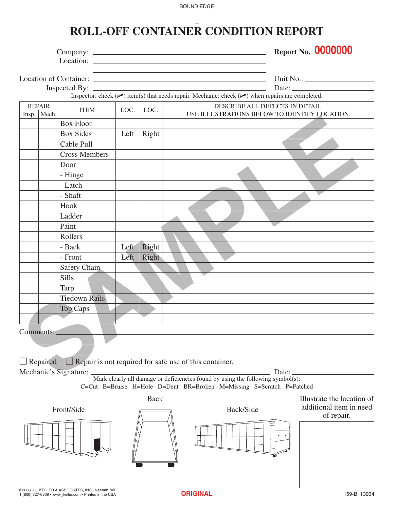## $\equiv$ **ROLL-OFF CONTAINER CONDITION REPORT**

|                                |                                                                                                               |      |              |           |                                                                                                           |                                       | <b>Report No. 0000000</b>  |
|--------------------------------|---------------------------------------------------------------------------------------------------------------|------|--------------|-----------|-----------------------------------------------------------------------------------------------------------|---------------------------------------|----------------------------|
|                                |                                                                                                               |      |              |           |                                                                                                           |                                       |                            |
|                                |                                                                                                               |      |              |           | Inspector: check $(\vee)$ item(s) that needs repair. Mechanic: check $(\vee)$ when repairs are completed. |                                       |                            |
| <b>REPAIR</b><br>Insp.   Mech. | <b>ITEM</b>                                                                                                   | LOC. | LOC.         |           | USE ILLUSTRATIONS BELOW TO IDENTIFY LOCATION.                                                             | DESCRIBE ALL DEFECTS IN DETAIL.       |                            |
|                                | <b>Box Floor</b>                                                                                              |      |              |           |                                                                                                           |                                       |                            |
|                                | <b>Box Sides</b>                                                                                              | Left | Right        |           |                                                                                                           |                                       |                            |
|                                | Cable Pull                                                                                                    |      |              |           |                                                                                                           |                                       |                            |
|                                | <b>Cross Members</b>                                                                                          |      |              |           |                                                                                                           |                                       |                            |
|                                | Door                                                                                                          |      |              |           |                                                                                                           |                                       |                            |
|                                | - Hinge                                                                                                       |      |              |           |                                                                                                           |                                       |                            |
|                                | - Latch                                                                                                       |      |              |           |                                                                                                           |                                       |                            |
|                                | - Shaft                                                                                                       |      |              |           |                                                                                                           |                                       |                            |
|                                | Hook                                                                                                          |      |              |           |                                                                                                           |                                       |                            |
|                                | Ladder                                                                                                        |      |              |           |                                                                                                           |                                       |                            |
|                                | Paint                                                                                                         |      |              |           |                                                                                                           |                                       |                            |
|                                | Rollers                                                                                                       |      |              |           |                                                                                                           |                                       |                            |
|                                | - Back                                                                                                        |      | Left   Right |           |                                                                                                           |                                       |                            |
|                                | - Front                                                                                                       | Left | Right        |           |                                                                                                           |                                       |                            |
|                                | Safety Chain                                                                                                  |      |              |           |                                                                                                           |                                       |                            |
|                                | <b>Sills</b>                                                                                                  |      |              |           |                                                                                                           |                                       |                            |
|                                | Tarp                                                                                                          |      |              |           |                                                                                                           |                                       |                            |
|                                | <b>Tiedown Rails</b>                                                                                          |      |              |           |                                                                                                           |                                       |                            |
|                                | <b>Top Caps</b>                                                                                               |      |              |           |                                                                                                           |                                       |                            |
|                                |                                                                                                               |      |              |           |                                                                                                           |                                       |                            |
|                                |                                                                                                               |      |              |           |                                                                                                           |                                       |                            |
| Comments:                      |                                                                                                               |      |              |           |                                                                                                           |                                       |                            |
| $\Box$ Repaired                | Repair is not required for safe use of this container.                                                        |      |              |           |                                                                                                           |                                       |                            |
| Mechanic's Signature:          |                                                                                                               |      |              |           |                                                                                                           | Date:                                 |                            |
|                                |                                                                                                               |      |              |           | Mark clearly all damage or deficiencies found by using the following symbol(s):                           |                                       |                            |
|                                |                                                                                                               |      |              |           | C=Cut B=Bruise H=Hole D=Dent BR=Broken M=Missing S=Scratch P=Patched                                      |                                       |                            |
|                                |                                                                                                               |      | <b>Back</b>  |           |                                                                                                           |                                       | Illustrate the location of |
| Front/Side                     |                                                                                                               |      |              | Back/Side |                                                                                                           | additional item in need<br>of repair. |                            |
|                                |                                                                                                               |      |              |           |                                                                                                           |                                       |                            |
|                                | ©2008 J. J. KELLER & ASSOCIATES, INC., Neenah, WI<br>1 (800) 327-6868 • www.jjkeller.com • Printed in the USA |      |              |           | <b>ORIGINAL</b>                                                                                           |                                       | 159-B 13934                |